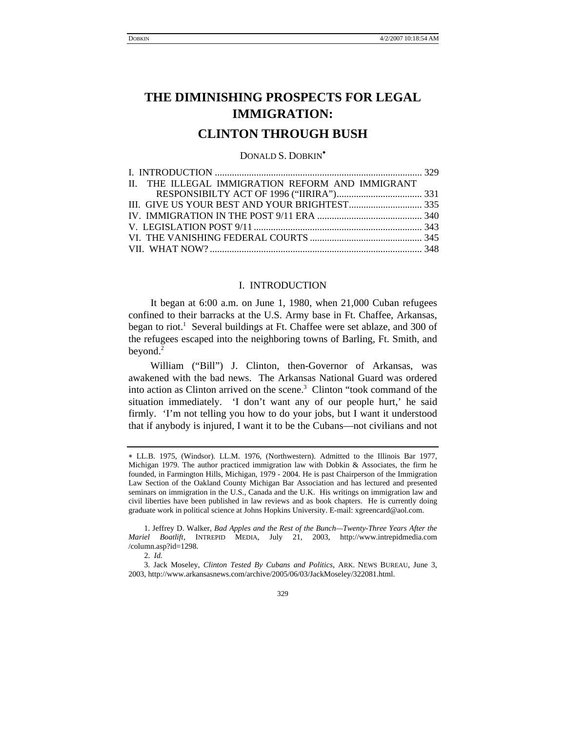# **CLINTON THROUGH BUSH**

DONALD S. DOBKIN[∗](#page-0-0)

<span id="page-0-4"></span>

| II. THE ILLEGAL IMMIGRATION REFORM AND IMMIGRANT |  |
|--------------------------------------------------|--|
|                                                  |  |
|                                                  |  |
|                                                  |  |
|                                                  |  |
|                                                  |  |
|                                                  |  |

## I. INTRODUCTION

It began at 6:00 a.m. on June 1, 1980, when 21,000 Cuban refugees confined to their barracks at the U.S. Army base in Ft. Chaffee, Arkansas, began to riot.<sup>1</sup> Several buildings at Ft. Chaffee were set ablaze, and 300 of the refugees escaped into the neighboring towns of Barling, Ft. Smith, and beyond.<sup>[2](#page-0-2)</sup>

William ("Bill") J. Clinton, then-Governor of Arkansas, was awakened with the bad news. The Arkansas National Guard was ordered into action as Clinton arrived on the scene.<sup>[3](#page-0-3)</sup> Clinton "took command of the situation immediately. 'I don't want any of our people hurt,' he said firmly. 'I'm not telling you how to do your jobs, but I want it understood that if anybody is injured, I want it to be the Cubans—not civilians and not

<span id="page-0-0"></span><sup>∗</sup> LL.B. 1975, (Windsor). LL.M. 1976, (Northwestern). Admitted to the Illinois Bar 1977, Michigan 1979. The author practiced immigration law with Dobkin & Associates, the firm he founded, in Farmington Hills, Michigan, 1979 - 2004. He is past Chairperson of the Immigration Law Section of the Oakland County Michigan Bar Association and has lectured and presented seminars on immigration in the U.S., Canada and the U.K. His writings on immigration law and civil liberties have been published in law reviews and as book chapters. He is currently doing graduate work in political science at Johns Hopkins University. E-mail: xgreencard@aol.com.

<span id="page-0-2"></span><span id="page-0-1"></span> <sup>1.</sup> Jeffrey D. Walker, *Bad Apples and the Rest of the Bunch—Twenty-Three Years After the Mariel Boatlift*, INTREPID MEDIA, July 21, 2003, http://www.intrepidmedia.com /column.asp?id=1298.

<span id="page-0-3"></span> <sup>2.</sup> *Id.*

 <sup>3.</sup> Jack Moseley, *Clinton Tested By Cubans and Politics*, ARK. NEWS BUREAU, June 3, 2003, http://www.arkansasnews.com/archive/2005/06/03/JackMoseley/322081.html.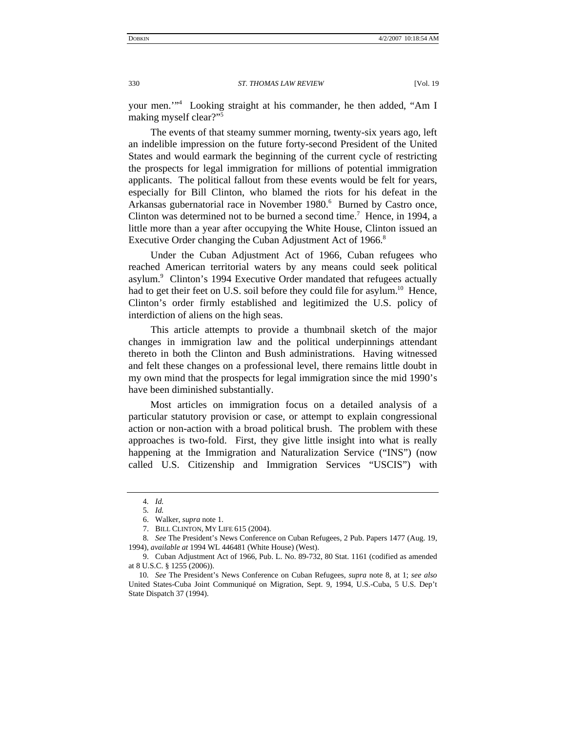your men.'"4 Looking straight at his commander, he then added, "Am I making myself clear?"[5](#page-1-1)

The events of that steamy summer morning, twenty-six years ago, left an indelible impression on the future forty-second President of the United States and would earmark the beginning of the current cycle of restricting the prospects for legal immigration for millions of potential immigration applicants. The political fallout from these events would be felt for years, especially for Bill Clinton, who blamed the riots for his defeat in the Arkansas gubernatorial race in November 1980.<sup>[6](#page-1-2)</sup> Burned by Castro once, Clintonwas determined not to be burned a second time.<sup>7</sup> Hence, in 1994, a little more than a year after occupying the White House, Clinton issued an Executive Order changing the Cuban Adjustment Act of 1966.<sup>8</sup>

Under the Cuban Adjustment Act of 1966, Cuban refugees who reached American territorial waters by any means could seek political asylum.<sup>[9](#page-1-5)</sup> Clinton's 1994 Executive Order mandated that refugees actually had to get their feet on U.S. soil before they could file for asylum.<sup>10</sup> Hence, Clinton's order firmly established and legitimized the U.S. policy of interdiction of aliens on the high seas.

This article attempts to provide a thumbnail sketch of the major changes in immigration law and the political underpinnings attendant thereto in both the Clinton and Bush administrations. Having witnessed and felt these changes on a professional level, there remains little doubt in my own mind that the prospects for legal immigration since the mid 1990's have been diminished substantially.

Most articles on immigration focus on a detailed analysis of a particular statutory provision or case, or attempt to explain congressional action or non-action with a broad political brush. The problem with these approaches is two-fold. First, they give little insight into what is really happening at the Immigration and Naturalization Service ("INS") (now called U.S. Citizenship and Immigration Services "USCIS") with

<span id="page-1-0"></span><sup>4</sup>*. Id.*

<span id="page-1-1"></span><sup>5</sup>*. Id.*

<span id="page-1-2"></span><sup>6.</sup> Walker, *supra* note 1.

<span id="page-1-4"></span><span id="page-1-3"></span><sup>7.</sup> BILL CLINTON, MY LIFE 615 (2004).

<sup>8</sup>*. See* The President's News Conference on Cuban Refugees, 2 Pub. Papers 1477 (Aug. 19, 1994), *available at* 1994 WL 446481 (White House) (West).

<span id="page-1-5"></span><sup>9.</sup> Cuban Adjustment Act of 1966, Pub. L. No. 89-732, 80 Stat. 1161 (codified as amended at 8 U.S.C. § 1255 (2006)).

<span id="page-1-6"></span><sup>10</sup>*. See* The President's News Conference on Cuban Refugees, *supra* note 8, at 1; *see also*  United States-Cuba Joint Communiqué on Migration, Sept. 9, 1994, U.S.-Cuba, 5 U.S. Dep't State Dispatch 37 (1994).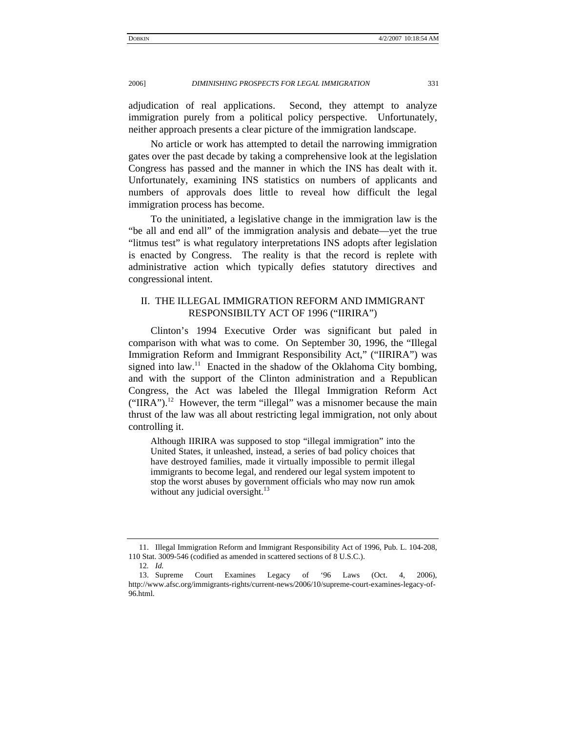<span id="page-2-0"></span>adjudication of real applications. Second, they attempt to analyze immigration purely from a political policy perspective. Unfortunately, neither approach presents a clear picture of the immigration landscape.

No article or work has attempted to detail the narrowing immigration gates over the past decade by taking a comprehensive look at the legislation Congress has passed and the manner in which the INS has dealt with it. Unfortunately, examining INS statistics on numbers of applicants and numbers of approvals does little to reveal how difficult the legal immigration process has become.

To the uninitiated, a legislative change in the immigration law is the "be all and end all" of the immigration analysis and debate—yet the true "litmus test" is what regulatory interpretations INS adopts after legislation is enacted by Congress. The reality is that the record is replete with administrative action which typically defies statutory directives and congressional intent.

## II. THE ILLEGAL IMMIGRATION REFORM AND IMMIGRANT RESPONSIBILTY ACT OF 1996 ("IIRIRA")

Clinton's 1994 Executive Order was significant but paled in comparison with what was to come. On September 30, 1996, the "Illegal Immigration Reform and Immigrant Responsibility Act," ("IIRIRA") was signed into law.<sup>11</sup> Enacted in the shadow of the Oklahoma City bombing, and with the support of the Clinton administration and a Republican Congress, the Act was labeled the Illegal Immigration Reform Act  $("IIRA").<sup>12</sup> However, the term "illegal" was a misnomer because the main$ thrust of the law was all about restricting legal immigration, not only about controlling it.

Although IIRIRA was supposed to stop "illegal immigration" into the United States, it unleashed, instead, a series of bad policy choices that have destroyed families, made it virtually impossible to permit illegal immigrants to become legal, and rendered our legal system impotent to stop the worst abuses by government officials who may now run amok without any judicial oversight. $^{13}$  $^{13}$  $^{13}$ 

<span id="page-2-1"></span><sup>11.</sup> Illegal Immigration Reform and Immigrant Responsibility Act of 1996, Pub. L. 104-208, 110 Stat. 3009-546 (codified as amended in scattered sections of 8 U.S.C.).

<span id="page-2-3"></span><span id="page-2-2"></span><sup>12</sup>*. Id.*

<sup>13.</sup> Supreme Court Examines Legacy of '96 Laws (Oct. 4, 2006), http://www.afsc.org/immigrants-rights/current-news/2006/10/supreme-court-examines-legacy-of-96.html.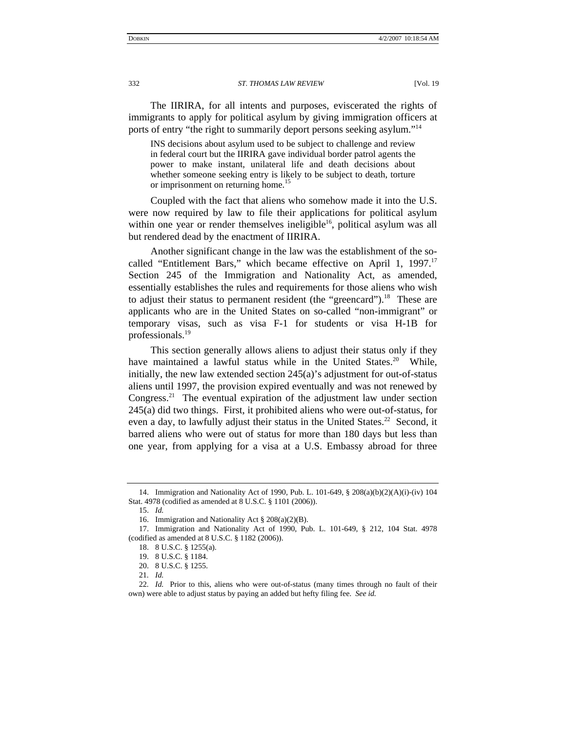The IIRIRA, for all intents and purposes, eviscerated the rights of immigrants to apply for political asylum by giving immigration officers at ports of entry "the right to summarily deport persons seeking asylum."[14](#page-3-0) 

INS decisions about asylum used to be subject to challenge and review in federal court but the IIRIRA gave individual border patrol agents the power to make instant, unilateral life and death decisions about whether someone seeking entry is likely to be subject to death, torture or imprisonment on returning home.<sup>15</sup>

Coupled with the fact that aliens who somehow made it into the U.S. were now required by law to file their applications for political asylum within one year or render themselves ineligible<sup>16</sup>, political asylum was all but rendered dead by the enactment of IIRIRA.

Another significant change in the law was the establishment of the socalled "Entitlement Bars," which became effective on April 1, 1997.<sup>17</sup> Section 245 of the Immigration and Nationality Act, as amended, essentially establishes the rules and requirements for those aliens who wish to adjust their status to permanent resident (the "greencard").<sup>18</sup> These are applicants who are in the United States on so-called "non-immigrant" or temporary visas, such as visa F-1 for students or visa H-1B for professionals.<sup>[19](#page-3-5)</sup>

This section generally allows aliens to adjust their status only if they have maintained a lawful status while in the United States.<sup>20</sup> While, initially, the new law extended section 245(a)'s adjustment for out-of-status aliens until 1997, the provision expired eventually and was not renewed by Congress.<sup>21</sup> The eventual expiration of the adjustment law under section 245(a) did two things. First, it prohibited aliens who were out-of-status, for even a day, to lawfully adjust their status in the United States.<sup>22</sup> Second, it barred aliens who were out of status for more than 180 days but less than one year, from applying for a visa at a U.S. Embassy abroad for three

<span id="page-3-0"></span><sup>14.</sup> Immigration and Nationality Act of 1990, Pub. L. 101-649, § 208(a)(b)(2)(A)(i)-(iv) 104 Stat. 4978 (codified as amended at 8 U.S.C. § 1101 (2006)).

<span id="page-3-1"></span><sup>15.</sup> *Id.* 

<span id="page-3-3"></span><span id="page-3-2"></span><sup>16.</sup> Immigration and Nationality Act § 208(a)(2)(B).

<sup>17.</sup> Immigration and Nationality Act of 1990, Pub. L. 101-649, § 212, 104 Stat. 4978 (codified as amended at 8 U.S.C. § 1182 (2006)).

<span id="page-3-4"></span><sup>18. 8</sup> U.S.C. § 1255(a).

<span id="page-3-5"></span><sup>19. 8</sup> U.S.C. § 1184.

<span id="page-3-6"></span><sup>20. 8</sup> U.S.C. § 1255.

<span id="page-3-8"></span><span id="page-3-7"></span><sup>21</sup>*. Id.*

<sup>22</sup>*. Id.* Prior to this, aliens who were out-of-status (many times through no fault of their own) were able to adjust status by paying an added but hefty filing fee. *See id.*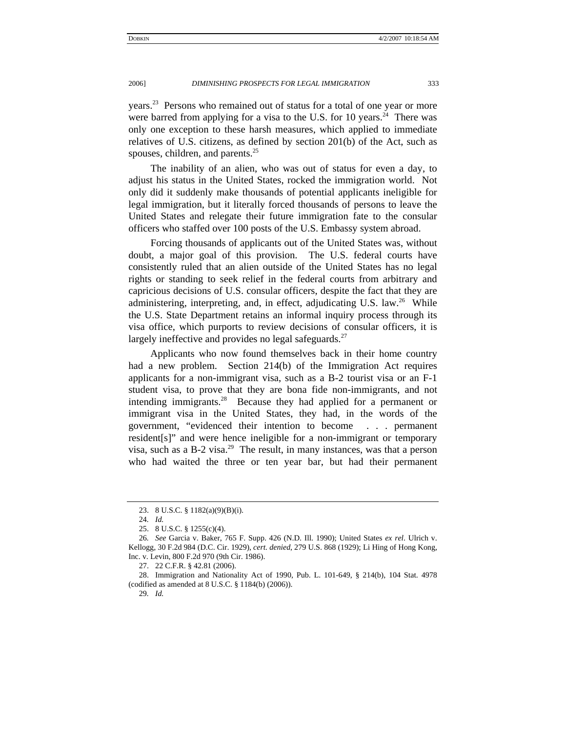years.<sup>23</sup> Persons who remained out of status for a total of one year or more were barred from applying for a visa to the U.S. for 10 years.<sup>24</sup> There was only one exception to these harsh measures, which applied to immediate relatives of U.S. citizens, as defined by section 201(b) of the Act, such as spouses, children, and parents.<sup>[25](#page-4-2)</sup>

The inability of an alien, who was out of status for even a day, to adjust his status in the United States, rocked the immigration world. Not only did it suddenly make thousands of potential applicants ineligible for legal immigration, but it literally forced thousands of persons to leave the United States and relegate their future immigration fate to the consular officers who staffed over 100 posts of the U.S. Embassy system abroad.

Forcing thousands of applicants out of the United States was, without doubt, a major goal of this provision. The U.S. federal courts have consistently ruled that an alien outside of the United States has no legal rights or standing to seek relief in the federal courts from arbitrary and capricious decisions of U.S. consular officers, despite the fact that they are administering, interpreting, and, in effect, adjudicating U.S. law.<sup>26</sup> While the U.S. State Department retains an informal inquiry process through its visa office, which purports to review decisions of consular officers, it is largely ineffective and provides no legal safeguards.<sup>[27](#page-4-4)</sup>

Applicants who now found themselves back in their home country had a new problem. Section 214(b) of the Immigration Act requires applicants for a non-immigrant visa, such as a B-2 tourist visa or an F-1 student visa, to prove that they are bona fide non-immigrants, and not intending immigrants.<sup>28</sup> Because they had applied for a permanent or immigrant visa in the United States, they had, in the words of the government, "evidenced their intention to become . . . permanent resident[s]" and were hence ineligible for a non-immigrant or temporary visa, such as a B-2 visa.<sup>29</sup> The result, in many instances, was that a person who had waited the three or ten year bar, but had their permanent

<span id="page-4-6"></span>29*. Id.*

<span id="page-4-0"></span><sup>23. 8</sup> U.S.C. § 1182(a)(9)(B)(i).

<span id="page-4-1"></span><sup>24</sup>*. Id.*

<span id="page-4-3"></span><span id="page-4-2"></span><sup>25. 8</sup> U.S.C. § 1255(c)(4).

<sup>26</sup>*. See* Garcia v. Baker, 765 F. Supp. 426 (N.D. Ill. 1990); United States *ex rel*. Ulrich v. Kellogg, 30 F.2d 984 (D.C. Cir. 1929), *cert. denied*, 279 U.S. 868 (1929); Li Hing of Hong Kong, Inc. v. Levin, 800 F.2d 970 (9th Cir. 1986).

<span id="page-4-5"></span><span id="page-4-4"></span><sup>27. 22</sup> C.F.R. § 42.81 (2006).

<sup>28.</sup> Immigration and Nationality Act of 1990, Pub. L. 101-649, § 214(b), 104 Stat. 4978 (codified as amended at 8 U.S.C. § 1184(b) (2006)).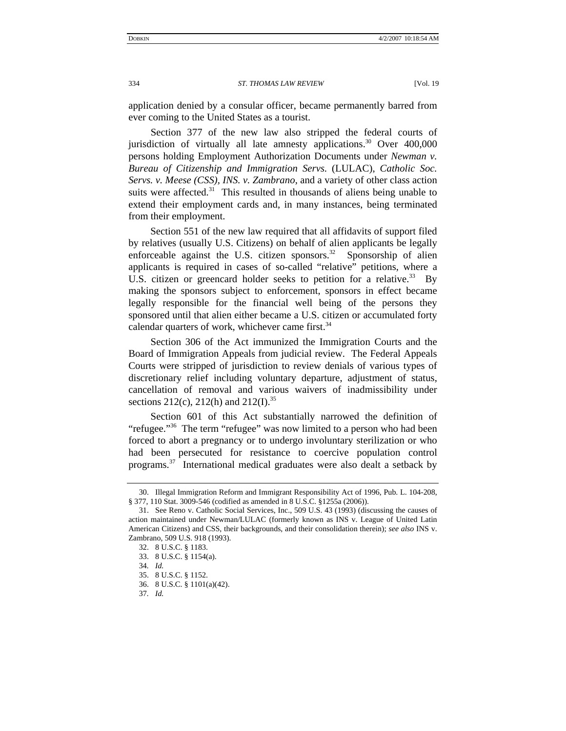application denied by a consular officer, became permanently barred from ever coming to the United States as a tourist.

Section 377 of the new law also stripped the federal courts of jurisdiction of virtually all late amnesty applications.<sup>30</sup> Over  $400,000$ persons holding Employment Authorization Documents under *Newman v. Bureau of Citizenship and Immigration Servs*. (LULAC), *Catholic Soc. Servs. v. Meese (CSS), INS. v. Zambrano*, and a variety of other class action suits were affected.<sup>31</sup> This resulted in thousands of aliens being unable to extend their employment cards and, in many instances, being terminated from their employment.

Section 551 of the new law required that all affidavits of support filed by relatives (usually U.S. Citizens) on behalf of alien applicants be legally enforceable against the U.S. citizen sponsors.<sup>32</sup> Sponsorship of alien applicants is required in cases of so-called "relative" petitions, where a U.S. citizen or greencard holder seeks to petition for a relative.<sup>33</sup> By making the sponsors subject to enforcement, sponsors in effect became legally responsible for the financial well being of the persons they sponsored until that alien either became a U.S. citizen or accumulated forty calendar quarters of work, whichever came first. $34$ 

Section 306 of the Act immunized the Immigration Courts and the Board of Immigration Appeals from judicial review. The Federal Appeals Courts were stripped of jurisdiction to review denials of various types of discretionary relief including voluntary departure, adjustment of status, cancellation of removal and various waivers of inadmissibility under sections 212(c), 212(h) and 212(I).<sup>[35](#page-5-5)</sup>

Section 601 of this Act substantially narrowed the definition of "refugee."<sup>36</sup> The term "refugee" was now limited to a person who had been forced to abort a pregnancy or to undergo involuntary sterilization or who had been persecuted for resistance to coercive population control programs[.37](#page-5-7) International medical graduates were also dealt a setback by

<span id="page-5-0"></span><sup>30.</sup> Illegal Immigration Reform and Immigrant Responsibility Act of 1996, Pub. L. 104-208, § 377, 110 Stat. 3009-546 (codified as amended in 8 U.S.C. §1255a (2006)).

<span id="page-5-1"></span><sup>31.</sup> See Reno v. Catholic Social Services, Inc., 509 U.S. 43 (1993) (discussing the causes of action maintained under Newman/LULAC (formerly known as INS v. League of United Latin American Citizens) and CSS, their backgrounds, and their consolidation therein); *see also* INS v. Zambrano, 509 U.S. 918 (1993).

<span id="page-5-2"></span><sup>32. 8</sup> U.S.C. § 1183.

<span id="page-5-3"></span><sup>33. 8</sup> U.S.C. § 1154(a).

<span id="page-5-4"></span><sup>34</sup>*. Id.*

<span id="page-5-5"></span><sup>35. 8</sup> U.S.C. § 1152.

<span id="page-5-6"></span><sup>36. 8</sup> U.S.C. § 1101(a)(42).

<span id="page-5-7"></span><sup>37</sup>*. Id.*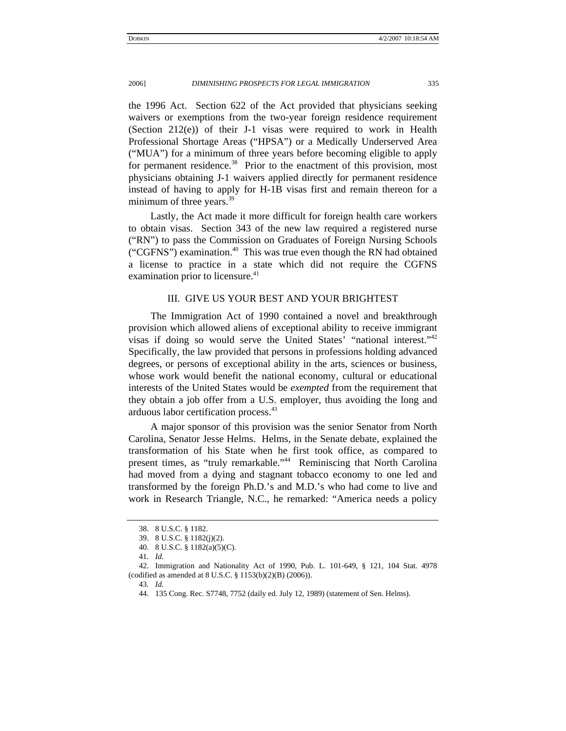<span id="page-6-0"></span>the 1996 Act. Section 622 of the Act provided that physicians seeking waivers or exemptions from the two-year foreign residence requirement (Section 212(e)) of their J-1 visas were required to work in Health Professional Shortage Areas ("HPSA") or a Medically Underserved Area ("MUA") for a minimum of three years before becoming eligible to apply for permanent residence. $38$  Prior to the enactment of this provision, most physicians obtaining J-1 waivers applied directly for permanent residence instead of having to apply for H-1B visas first and remain thereon for a minimum of three years.<sup>39</sup>

Lastly, the Act made it more difficult for foreign health care workers to obtain visas. Section 343 of the new law required a registered nurse ("RN") to pass the Commission on Graduates of Foreign Nursing Schools ("CGFNS") examination.<sup>40</sup> This was true even though the RN had obtained a license to practice in a state which did not require the CGFNS examination prior to licensure.<sup>41</sup>

## III. GIVE US YOUR BEST AND YOUR BRIGHTEST

The Immigration Act of 1990 contained a novel and breakthrough provision which allowed aliens of exceptional ability to receive immigrant visas if doing so would serve the United States' "national interest."[42](#page-6-5)  Specifically, the law provided that persons in professions holding advanced degrees, or persons of exceptional ability in the arts, sciences or business, whose work would benefit the national economy, cultural or educational interests of the United States would be *exempted* from the requirement that they obtain a job offer from a U.S. employer, thus avoiding the long and arduous labor certification process.[43](#page-6-6)

A major sponsor of this provision was the senior Senator from North Carolina, Senator Jesse Helms. Helms, in the Senate debate, explained the transformation of his State when he first took office, as compared to present times, as "truly remarkable."<sup>44</sup> Reminiscing that North Carolina had moved from a dying and stagnant tobacco economy to one led and transformed by the foreign Ph.D.'s and M.D.'s who had come to live and work in Research Triangle, N.C., he remarked: "America needs a policy

<span id="page-6-1"></span><sup>38. 8</sup> U.S.C. § 1182.

<span id="page-6-2"></span><sup>39. 8</sup> U.S.C. § 1182(j)(2).

<span id="page-6-3"></span><sup>40. 8</sup> U.S.C. § 1182(a)(5)(C).

<span id="page-6-5"></span><span id="page-6-4"></span><sup>41</sup>*. Id.*

<sup>42.</sup> Immigration and Nationality Act of 1990, Pub. L. 101-649, § 121, 104 Stat. 4978 (codified as amended at 8 U.S.C. § 1153(b)(2)(B) (2006)).

<span id="page-6-6"></span><sup>43</sup>*. Id.*

<span id="page-6-7"></span><sup>44. 135</sup> Cong. Rec. S7748, 7752 (daily ed. July 12, 1989) (statement of Sen. Helms).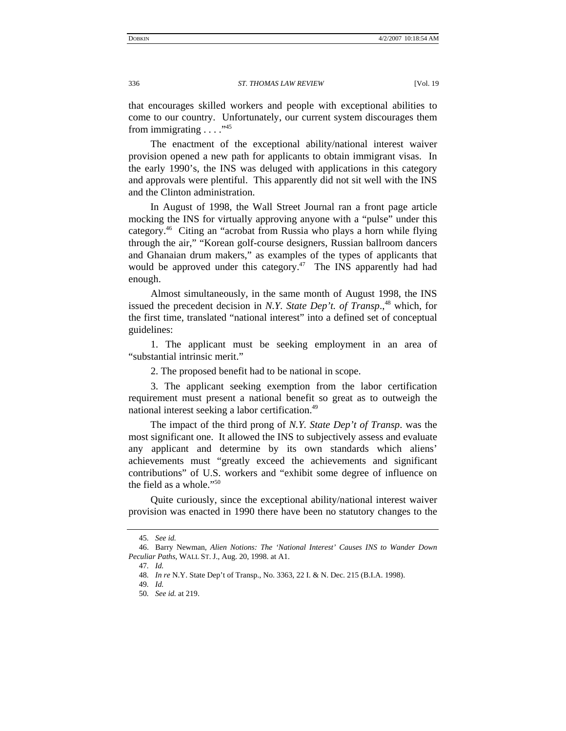that encourages skilled workers and people with exceptional abilities to come to our country. Unfortunately, our current system discourages them from immigrating  $\ldots$ ."<sup>[45](#page-7-0)</sup>

The enactment of the exceptional ability/national interest waiver provision opened a new path for applicants to obtain immigrant visas. In the early 1990's, the INS was deluged with applications in this category and approvals were plentiful. This apparently did not sit well with the INS and the Clinton administration.

In August of 1998, the Wall Street Journal ran a front page article mocking the INS for virtually approving anyone with a "pulse" under this category.[46](#page-7-1) Citing an "acrobat from Russia who plays a horn while flying through the air," "Korean golf-course designers, Russian ballroom dancers and Ghanaian drum makers," as examples of the types of applicants that would be approved under this category. $47$  The INS apparently had had enough.

Almost simultaneously, in the same month of August 1998, the INS issued the precedent decision in *N.Y. State Dep't. of Transp*.,<sup>48</sup> which, for the first time, translated "national interest" into a defined set of conceptual guidelines:

1. The applicant must be seeking employment in an area of "substantial intrinsic merit."

2. The proposed benefit had to be national in scope.

3. The applicant seeking exemption from the labor certification requirement must present a national benefit so great as to outweigh the national interest seeking a labor certification.<sup>[49](#page-7-4)</sup>

The impact of the third prong of *N.Y. State Dep't of Transp*. was the most significant one. It allowed the INS to subjectively assess and evaluate any applicant and determine by its own standards which aliens' achievements must "greatly exceed the achievements and significant contributions" of U.S. workers and "exhibit some degree of influence on the field as a whole."<sup>50</sup>

Quite curiously, since the exceptional ability/national interest waiver provision was enacted in 1990 there have been no statutory changes to the

<span id="page-7-1"></span><span id="page-7-0"></span><sup>45</sup>*. See id.*

<sup>46.</sup> Barry Newman, *Alien Notions: The 'National Interest' Causes INS to Wander Down Peculiar Paths*, WALL ST. J., Aug. 20, 1998. at A1.

<span id="page-7-2"></span><sup>47</sup>*. Id.*

<span id="page-7-3"></span><sup>48</sup>*. In re* N.Y. State Dep't of Transp., No. 3363, 22 I. & N. Dec. 215 (B.I.A. 1998).

<span id="page-7-4"></span><sup>49</sup>*. Id.*

<span id="page-7-5"></span><sup>50</sup>*. See id.* at 219.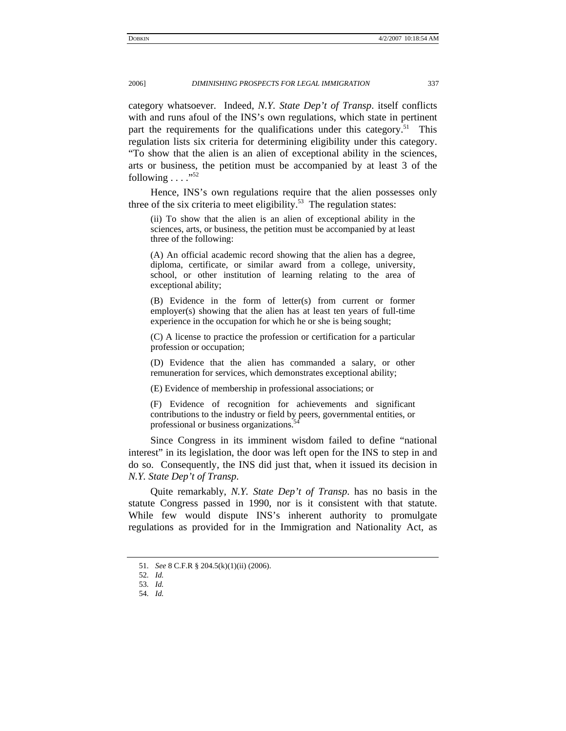category whatsoever. Indeed, *N.Y. State Dep't of Transp*. itself conflicts with and runs afoul of the INS's own regulations, which state in pertinent part the requirements for the qualifications under this category.<sup>51</sup> This regulation lists six criteria for determining eligibility under this category. "To show that the alien is an alien of exceptional ability in the sciences, arts or business, the petition must be accompanied by at least 3 of the following  $\ldots$ ."<sup>[52](#page-8-1)</sup>

Hence, INS's own regulations require that the alien possesses only three of the six criteria to meet eligibility.<sup>53</sup> The regulation states:

(ii) To show that the alien is an alien of exceptional ability in the sciences, arts, or business, the petition must be accompanied by at least three of the following:

(A) An official academic record showing that the alien has a degree, diploma, certificate, or similar award from a college, university, school, or other institution of learning relating to the area of exceptional ability;

(B) Evidence in the form of letter(s) from current or former employer(s) showing that the alien has at least ten years of full-time experience in the occupation for which he or she is being sought;

(C) A license to practice the profession or certification for a particular profession or occupation;

(D) Evidence that the alien has commanded a salary, or other remuneration for services, which demonstrates exceptional ability;

(E) Evidence of membership in professional associations; or

(F) Evidence of recognition for achievements and significant contributions to the industry or field by peers, governmental entities, or professional or business organizations.<sup>5</sup>

Since Congress in its imminent wisdom failed to define "national interest" in its legislation, the door was left open for the INS to step in and do so. Consequently, the INS did just that, when it issued its decision in *N.Y. State Dep't of Transp*.

Quite remarkably, *N.Y. State Dep't of Transp*. has no basis in the statute Congress passed in 1990, nor is it consistent with that statute. While few would dispute INS's inherent authority to promulgate regulations as provided for in the Immigration and Nationality Act, as

<span id="page-8-0"></span><sup>51</sup>*. See* 8 C.F.R § 204.5(k)(1)(ii) (2006).

<span id="page-8-1"></span><sup>52</sup>*. Id.*

<span id="page-8-2"></span><sup>53</sup>*. Id.*

<span id="page-8-3"></span><sup>54</sup>*. Id.*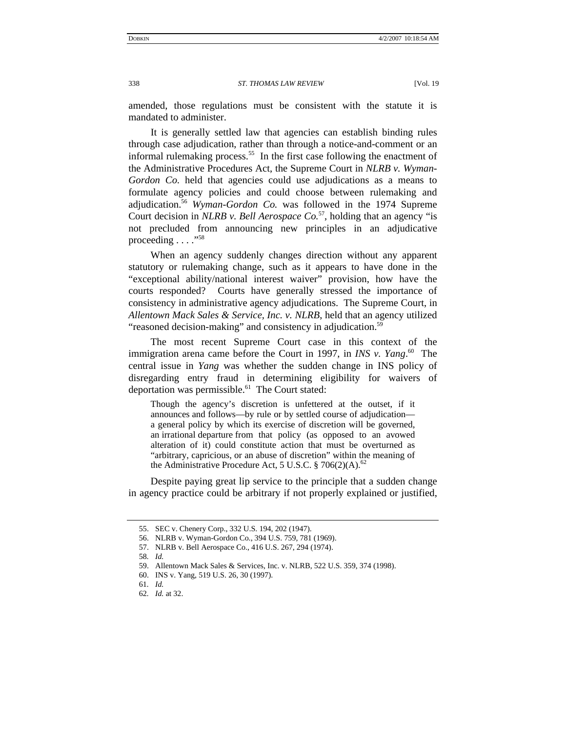amended, those regulations must be consistent with the statute it is mandated to administer.

It is generally settled law that agencies can establish binding rules through case adjudication, rather than through a notice-and-comment or an informal rulemaking process.<sup>55</sup> In the first case following the enactment of the Administrative Procedures Act, the Supreme Court in *NLRB v. Wyman-Gordon Co.* held that agencies could use adjudications as a means to formulate agency policies and could choose between rulemaking and adjudication[.56](#page-9-1) *Wyman-Gordon Co.* was followed in the 1974 Supreme Court decision in *NLRB v. Bell Aerospace Co.*<sup>57</sup>, holding that an agency "is not precluded from announcing new principles in an adjudicative proceeding  $\ldots$ ."<sup>[58](#page-9-3)</sup>

When an agency suddenly changes direction without any apparent statutory or rulemaking change, such as it appears to have done in the "exceptional ability/national interest waiver" provision, how have the courts responded? Courts have generally stressed the importance of consistency in administrative agency adjudications. The Supreme Court, in *Allentown Mack Sales & Service, Inc. v. NLRB*, held that an agency utilized "reasoned decision-making" and consistency in adjudication.<sup>[59](#page-9-4)</sup>

The most recent Supreme Court case in this context of the immigration arena came before the Court in 1997, in *INS v. Yang*. [60](#page-9-5) The central issue in *Yang* was whether the sudden change in INS policy of disregarding entry fraud in determining eligibility for waivers of deportation was permissible. $61$  The Court stated:

Though the agency's discretion is unfettered at the outset, if it announces and follows—by rule or by settled course of adjudication a general policy by which its exercise of discretion will be governed, an irrational departure from that policy (as opposed to an avowed alteration of it) could constitute action that must be overturned as "arbitrary, capricious, or an abuse of discretion" within the meaning of the Administrative Procedure Act, 5 U.S.C.  $\S 706(2)(A)$ .<sup>[62](#page-9-7)</sup>

Despite paying great lip service to the principle that a sudden change in agency practice could be arbitrary if not properly explained or justified,

<span id="page-9-0"></span><sup>55.</sup> SEC v. Chenery Corp., 332 U.S. 194, 202 (1947).

<span id="page-9-1"></span><sup>56.</sup> NLRB v. Wyman-Gordon Co., 394 U.S. 759, 781 (1969).

<span id="page-9-2"></span><sup>57.</sup> NLRB v. Bell Aerospace Co., 416 U.S. 267, 294 (1974).

<span id="page-9-3"></span><sup>58</sup>*. Id.*

<span id="page-9-4"></span><sup>59.</sup> Allentown Mack Sales & Services, Inc. v. NLRB, 522 U.S. 359, 374 (1998).

<span id="page-9-5"></span><sup>60.</sup> INS v. Yang, 519 U.S. 26, 30 (1997).

<span id="page-9-6"></span><sup>61</sup>*. Id.*

<span id="page-9-7"></span><sup>62</sup>*. Id.* at 32.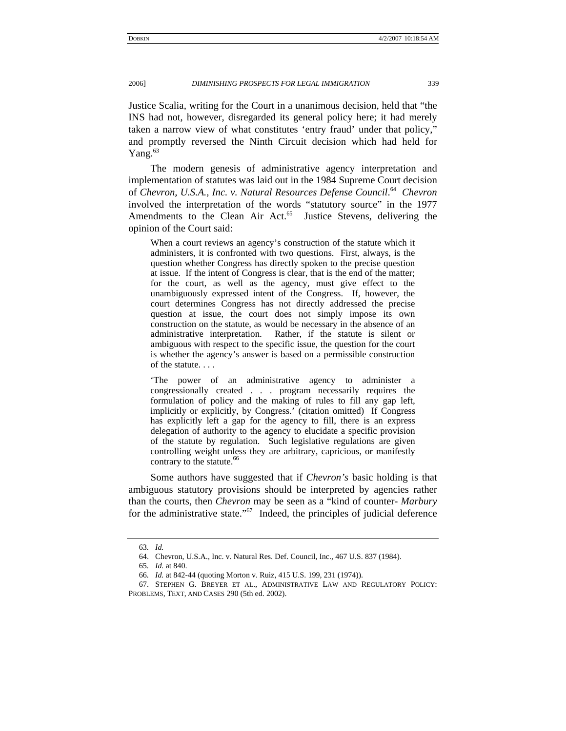Justice Scalia, writing for the Court in a unanimous decision, held that "the INS had not, however, disregarded its general policy here; it had merely taken a narrow view of what constitutes 'entry fraud' under that policy," and promptly reversed the Ninth Circuit decision which had held for Yang. $63$ 

The modern genesis of administrative agency interpretation and implementation of statutes was laid out in the 1984 Supreme Court decision of *Chevron, U.S.A., Inc. v. Natural Resources Defense Council*. [64](#page-10-1) *Chevron* involved the interpretation of the words "statutory source" in the 1977 Amendments to the Clean Air Act.<sup>65</sup> Justice Stevens, delivering the opinion of the Court said:

When a court reviews an agency's construction of the statute which it administers, it is confronted with two questions. First, always, is the question whether Congress has directly spoken to the precise question at issue. If the intent of Congress is clear, that is the end of the matter; for the court, as well as the agency, must give effect to the unambiguously expressed intent of the Congress. If, however, the court determines Congress has not directly addressed the precise question at issue, the court does not simply impose its own construction on the statute, as would be necessary in the absence of an administrative interpretation. Rather, if the statute is silent or ambiguous with respect to the specific issue, the question for the court is whether the agency's answer is based on a permissible construction of the statute. . . .

'The power of an administrative agency to administer a congressionally created . . . program necessarily requires the formulation of policy and the making of rules to fill any gap left, implicitly or explicitly, by Congress.' (citation omitted) If Congress has explicitly left a gap for the agency to fill, there is an express delegation of authority to the agency to elucidate a specific provision of the statute by regulation. Such legislative regulations are given controlling weight unless they are arbitrary, capricious, or manifestly contrary to the statute.<sup>[66](#page-10-3)</sup>

Some authors have suggested that if *Chevron's* basic holding is that ambiguous statutory provisions should be interpreted by agencies rather than the courts, then *Chevron* may be seen as a "kind of counter- *Marbury* for the administrative state."<sup>67</sup> Indeed, the principles of judicial deference

<span id="page-10-0"></span><sup>63</sup>*. Id.*

<span id="page-10-1"></span><sup>64.</sup> Chevron, U.S.A., Inc. v. Natural Res. Def. Council, Inc., 467 U.S. 837 (1984).

<span id="page-10-2"></span><sup>65</sup>*. Id.* at 840.

<span id="page-10-4"></span><span id="page-10-3"></span><sup>66</sup>*. Id.* at 842-44 (quoting Morton v. Ruiz, 415 U.S. 199, 231 (1974)).

<sup>67.</sup> STEPHEN G. BREYER ET AL., ADMINISTRATIVE LAW AND REGULATORY POLICY: PROBLEMS, TEXT, AND CASES 290 (5th ed. 2002).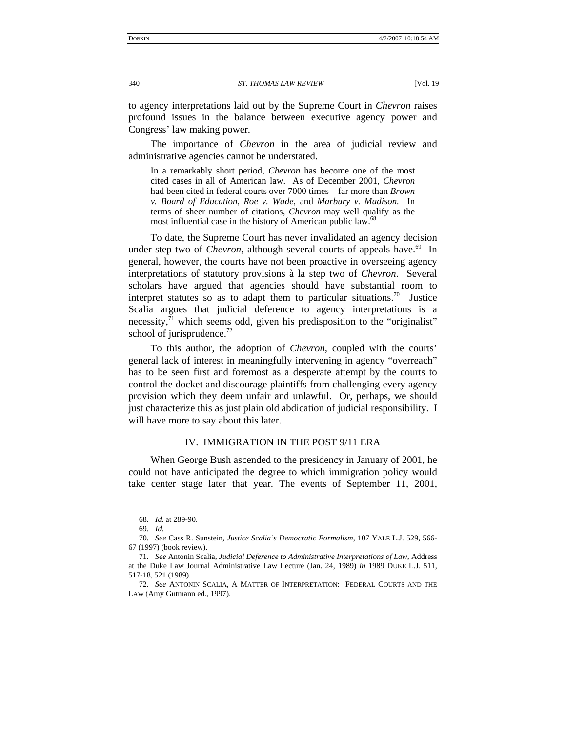<span id="page-11-0"></span>to agency interpretations laid out by the Supreme Court in *Chevron* raises profound issues in the balance between executive agency power and Congress' law making power.

The importance of *Chevron* in the area of judicial review and administrative agencies cannot be understated.

In a remarkably short period, *Chevron* has become one of the most cited cases in all of American law. As of December 2001, *Chevron* had been cited in federal courts over 7000 times—far more than *Brown v. Board of Education, Roe v. Wade,* and *Marbury v. Madison.* In terms of sheer number of citations, *Chevron* may well qualify as the most influential case in the history of American public law.<sup>6</sup>

To date, the Supreme Court has never invalidated an agency decision under step two of *Chevron*, although several courts of appeals have.<sup>69</sup> In general, however, the courts have not been proactive in overseeing agency interpretations of statutory provisions à la step two of *Chevron*.Several scholars have argued that agencies should have substantial room to interpret statutes so as to adapt them to particular situations.<sup>70</sup> Justice Scalia argues that judicial deference to agency interpretations is a necessity, $^{71}$  which seems odd, given his predisposition to the "originalist" school of jurisprudence. $^{72}$ 

To this author, the adoption of *Chevron,* coupled with the courts' general lack of interest in meaningfully intervening in agency "overreach" has to be seen first and foremost as a desperate attempt by the courts to control the docket and discourage plaintiffs from challenging every agency provision which they deem unfair and unlawful. Or, perhaps, we should just characterize this as just plain old abdication of judicial responsibility. I will have more to say about this later.

## IV. IMMIGRATION IN THE POST 9/11 ERA

When George Bush ascended to the presidency in January of 2001, he could not have anticipated the degree to which immigration policy would take center stage later that year. The events of September 11, 2001,

<span id="page-11-1"></span><sup>68</sup>*. Id*. at 289-90.

<span id="page-11-3"></span><span id="page-11-2"></span><sup>69</sup>*. Id*.

<sup>70</sup>*. See* Cass R. Sunstein, *Justice Scalia's Democratic Formalism*, 107 YALE L.J. 529, 566- 67 (1997) (book review).

<span id="page-11-4"></span><sup>71</sup>*. See* Antonin Scalia, *Judicial Deference to Administrative Interpretations of Law*, Address at the Duke Law Journal Administrative Law Lecture (Jan. 24, 1989) *in* 1989 DUKE L.J. 511, 517-18, 521 (1989).

<span id="page-11-5"></span><sup>72</sup>*. See* ANTONIN SCALIA, A MATTER OF INTERPRETATION: FEDERAL COURTS AND THE LAW (Amy Gutmann ed., 1997).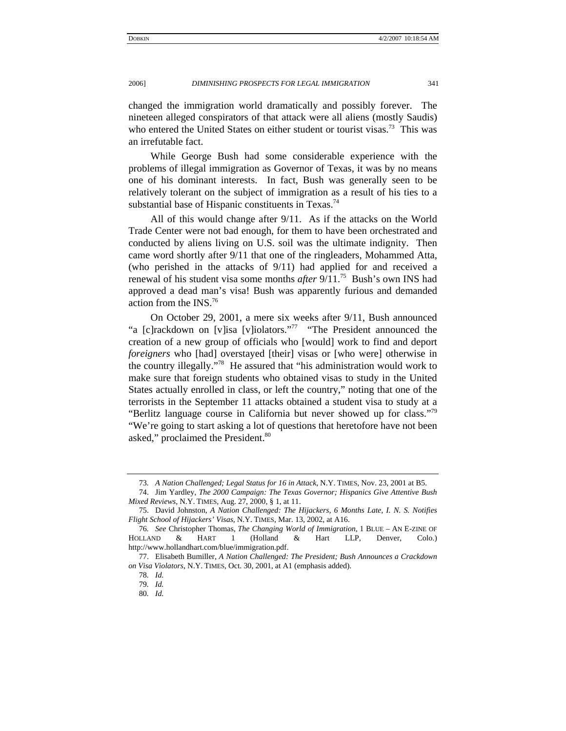changed the immigration world dramatically and possibly forever. The nineteen alleged conspirators of that attack were all aliens (mostly Saudis) who entered the United States on either student or tourist visas.<sup>73</sup> This was an irrefutable fact.

While George Bush had some considerable experience with the problems of illegal immigration as Governor of Texas, it was by no means one of his dominant interests. In fact, Bush was generally seen to be relatively tolerant on the subject of immigration as a result of his ties to a substantial base of Hispanic constituents in Texas.<sup>[74](#page-12-1)</sup>

All of this would change after 9/11. As if the attacks on the World Trade Center were not bad enough, for them to have been orchestrated and conducted by aliens living on U.S. soil was the ultimate indignity. Then came word shortly after 9/11 that one of the ringleaders, Mohammed Atta, (who perished in the attacks of 9/11) had applied for and received a renewal of his student visa some months *after* 9/11.[75](#page-12-2) Bush's own INS had approved a dead man's visa! Bush was apparently furious and demanded action from the INS.[76](#page-12-3)

On October 29, 2001, a mere six weeks after 9/11, Bush announced "a [c]rackdown on [v]isa [v]iolators."<sup>77</sup> "The President announced the creation of a new group of officials who [would] work to find and deport *foreigners* who [had] overstayed [their] visas or [who were] otherwise in the country illegally.["78](#page-12-5) He assured that "his administration would work to make sure that foreign students who obtained visas to study in the United States actually enrolled in class, or left the country," noting that one of the terrorists in the September 11 attacks obtained a student visa to study at a "Berlitz language course in California but never showed up for class."[79](#page-12-6)  "We're going to start asking a lot of questions that heretofore have not been asked," proclaimed the President.<sup>[80](#page-12-7)</sup>

<span id="page-12-1"></span><span id="page-12-0"></span><sup>73</sup>*. A Nation Challenged; Legal Status for 16 in Attack*, N.Y. TIMES, Nov. 23, 2001 at B5.

<sup>74.</sup> Jim Yardley, *The 2000 Campaign: The Texas Governor; Hispanics Give Attentive Bush Mixed Reviews*, N.Y. TIMES, Aug. 27, 2000, § 1, at 11.

<span id="page-12-2"></span><sup>75.</sup> David Johnston, *A Nation Challenged: The Hijackers, 6 Months Late, I. N. S. Notifies Flight School of Hijackers' Visas*, N*.*Y. TIMES, Mar. 13, 2002, at A16.

<span id="page-12-3"></span><sup>76</sup>*. See* Christopher Thomas, *The Changing World of Immigration*, 1 BLUE – AN E-ZINE OF HOLLAND & HART 1 (Holland & Hart LLP, Denver, Colo.) http://www.hollandhart.com/blue/immigration.pdf.

<span id="page-12-4"></span><sup>77.</sup> Elisabeth Bumiller, *A Nation Challenged: The President; Bush Announces a Crackdown on Visa Violators*, N.Y. TIMES, Oct. 30, 2001, at A1 (emphasis added).

<span id="page-12-5"></span><sup>78</sup>*. Id.*

<span id="page-12-6"></span><sup>79</sup>*. Id.*

<span id="page-12-7"></span><sup>80</sup>*. Id.*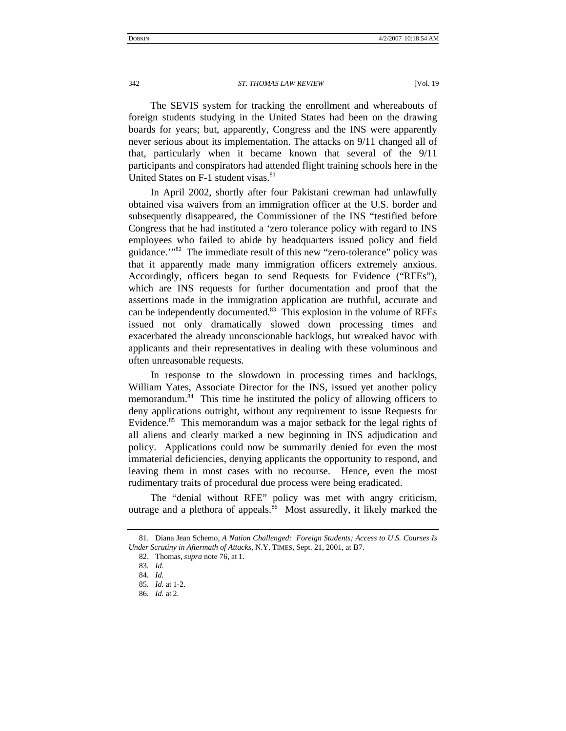The SEVIS system for tracking the enrollment and whereabouts of foreign students studying in the United States had been on the drawing boards for years; but, apparently, Congress and the INS were apparently never serious about its implementation. The attacks on 9/11 changed all of that, particularly when it became known that several of the 9/11 participants and conspirators had attended flight training schools here in the United States on F-1 student visas.<sup>[81](#page-13-0)</sup>

In April 2002, shortly after four Pakistani crewman had unlawfully obtained visa waivers from an immigration officer at the U.S. border and subsequently disappeared, the Commissioner of the INS "testified before Congress that he had instituted a 'zero tolerance policy with regard to INS employees who failed to abide by headquarters issued policy and field guidance.'["82](#page-13-1) The immediate result of this new "zero-tolerance" policy was that it apparently made many immigration officers extremely anxious. Accordingly, officers began to send Requests for Evidence ("RFEs"), which are INS requests for further documentation and proof that the assertions made in the immigration application are truthful, accurate and can be independently documented.<sup>83</sup> This explosion in the volume of RFEs issued not only dramatically slowed down processing times and exacerbated the already unconscionable backlogs, but wreaked havoc with applicants and their representatives in dealing with these voluminous and often unreasonable requests.

In response to the slowdown in processing times and backlogs, William Yates, Associate Director for the INS, issued yet another policy memorandum.<sup>84</sup> This time he instituted the policy of allowing officers to deny applications outright, without any requirement to issue Requests for Evidence.<sup>85</sup> This memorandum was a major setback for the legal rights of all aliens and clearly marked a new beginning in INS adjudication and policy. Applications could now be summarily denied for even the most immaterial deficiencies, denying applicants the opportunity to respond, and leaving them in most cases with no recourse. Hence, even the most rudimentary traits of procedural due process were being eradicated.

The "denial without RFE" policy was met with angry criticism, outrage and a plethora of appeals.<sup>86</sup> Most assuredly, it likely marked the

<span id="page-13-0"></span><sup>81.</sup> Diana Jean Schemo, *A Nation Challenged: Foreign Students; Access to U.S. Courses Is Under Scrutiny in Aftermath of Attacks*, N.Y. TIMES, Sept. 21, 2001, at B7.

<span id="page-13-1"></span><sup>82.</sup> Thomas, *supra* note 76, at 1.

<span id="page-13-2"></span><sup>83</sup>*. Id.*

<span id="page-13-3"></span><sup>84</sup>*. Id.*

<span id="page-13-5"></span><span id="page-13-4"></span><sup>85</sup>*. Id.* at 1-2. 86*. Id.* at 2.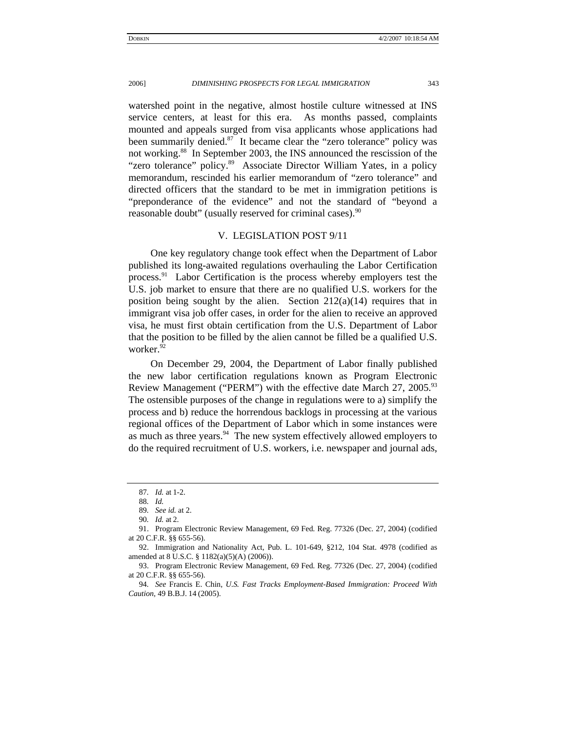<span id="page-14-0"></span>watershed point in the negative, almost hostile culture witnessed at INS service centers, at least for this era. As months passed, complaints mounted and appeals surged from visa applicants whose applications had been summarily denied.<sup>87</sup> It became clear the "zero tolerance" policy was not working.[88](#page-14-2) In September 2003, the INS announced the rescission of the "zero tolerance" policy.<sup>89</sup> Associate Director William Yates, in a policy memorandum, rescinded his earlier memorandum of "zero tolerance" and directed officers that the standard to be met in immigration petitions is "preponderance of the evidence" and not the standard of "beyond a reasonable doubt" (usually reserved for criminal cases).<sup>90</sup>

## V. LEGISLATION POST 9/11

One key regulatory change took effect when the Department of Labor published its long-awaited regulations overhauling the Labor Certification process.<sup>91</sup> Labor Certification is the process whereby employers test the U.S. job market to ensure that there are no qualified U.S. workers for the position being sought by the alien. Section  $212(a)(14)$  requires that in immigrant visa job offer cases, in order for the alien to receive an approved visa, he must first obtain certification from the U.S. Department of Labor that the position to be filled by the alien cannot be filled be a qualified U.S. worker.<sup>[92](#page-14-6)</sup>

On December 29, 2004, the Department of Labor finally published the new labor certification regulations known as Program Electronic Review Management ("PERM") with the effective date March 27, 2005.<sup>93</sup> The ostensible purposes of the change in regulations were to a) simplify the process and b) reduce the horrendous backlogs in processing at the various regional offices of the Department of Labor which in some instances were as much as three years. $94$  The new system effectively allowed employers to do the required recruitment of U.S. workers, i.e. newspaper and journal ads,

<span id="page-14-1"></span><sup>87</sup>*. Id.* at 1-2.

<span id="page-14-2"></span><sup>88</sup>*. Id.*

<span id="page-14-3"></span><sup>89</sup>*. See id.* at 2.

<span id="page-14-5"></span><span id="page-14-4"></span><sup>90</sup>*. Id.* at 2.

<sup>91.</sup> Program Electronic Review Management, 69 Fed. Reg. 77326 (Dec. 27, 2004) (codified at 20 C.F.R. §§ 655-56).

<span id="page-14-6"></span><sup>92.</sup> Immigration and Nationality Act, Pub. L. 101-649, §212, 104 Stat. 4978 (codified as amended at 8 U.S.C. § 1182(a)(5)(A) (2006)).

<span id="page-14-7"></span><sup>93.</sup> Program Electronic Review Management, 69 Fed. Reg. 77326 (Dec. 27, 2004) (codified at 20 C.F.R. §§ 655-56).

<span id="page-14-8"></span><sup>94</sup>*. See* Francis E. Chin, *U.S. Fast Tracks Employment-Based Immigration: Proceed With Caution,* 49 B.B.J. 14 (2005).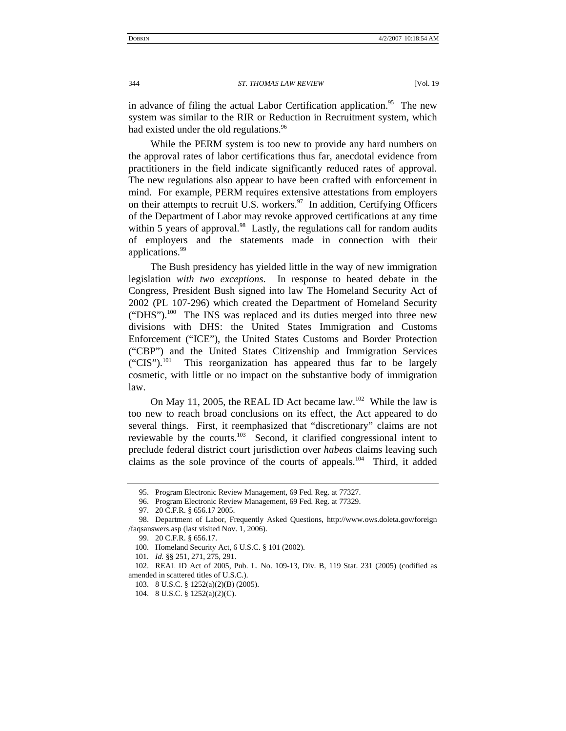in advance of filing the actual Labor Certification application.<sup>95</sup> The new system was similar to the RIR or Reduction in Recruitment system, which had existed under the old regulations.<sup>96</sup>

While the PERM system is too new to provide any hard numbers on the approval rates of labor certifications thus far, anecdotal evidence from practitioners in the field indicate significantly reduced rates of approval. The new regulations also appear to have been crafted with enforcement in mind. For example, PERM requires extensive attestations from employers on their attempts to recruit U.S. workers. $97$  In addition, Certifying Officers of the Department of Labor may revoke approved certifications at any time within 5 years of approval. $98$  Lastly, the regulations call for random audits of employers and the statements made in connection with their applications.<sup>[99](#page-15-4)</sup>

The Bush presidency has yielded little in the way of new immigration legislation *with two exceptions*. In response to heated debate in the Congress, President Bush signed into law The Homeland Security Act of 2002 (PL 107-296) which created the Department of Homeland Security ("DHS").<sup>100</sup> The INS was replaced and its duties merged into three new divisions with DHS: the United States Immigration and Customs Enforcement ("ICE"), the United States Customs and Border Protection ("CBP") and the United States Citizenship and Immigration Services  $("CIS").<sup>101</sup>$  This reorganization has appeared thus far to be largely cosmetic, with little or no impact on the substantive body of immigration law.

On May 11, 2005, the REAL ID Act became law.<sup>102</sup> While the law is too new to reach broad conclusions on its effect, the Act appeared to do several things. First, it reemphasized that "discretionary" claims are not reviewable by the courts.<sup>103</sup> Second, it clarified congressional intent to preclude federal district court jurisdiction over *habeas* claims leaving such claims as the sole province of the courts of appeals.<sup>104</sup> Third, it added

<span id="page-15-0"></span><sup>95.</sup> Program Electronic Review Management, 69 Fed. Reg. at 77327.

<span id="page-15-1"></span><sup>96.</sup> Program Electronic Review Management, 69 Fed. Reg. at 77329.

<span id="page-15-3"></span><span id="page-15-2"></span><sup>97. 20</sup> C.F.R. § 656.17 2005.

<sup>98.</sup> Department of Labor, Frequently Asked Questions, http://www.ows.doleta.gov/foreign /faqsanswers.asp (last visited Nov. 1, 2006).

<span id="page-15-4"></span><sup>99. 20</sup> C.F.R. § 656.17.

<span id="page-15-5"></span><sup>100.</sup> Homeland Security Act, 6 U.S.C. § 101 (2002).

<span id="page-15-6"></span><sup>101</sup>*. Id.* §§ 251, 271, 275, 291.

<span id="page-15-7"></span><sup>102.</sup> REAL ID Act of 2005, Pub. L. No. 109-13, Div. B, 119 Stat. 231 (2005) (codified as amended in scattered titles of U.S.C.).

<span id="page-15-8"></span><sup>103. 8</sup> U.S.C. § 1252(a)(2)(B) (2005).

<span id="page-15-9"></span><sup>104. 8</sup> U.S.C. § 1252(a)(2)(C).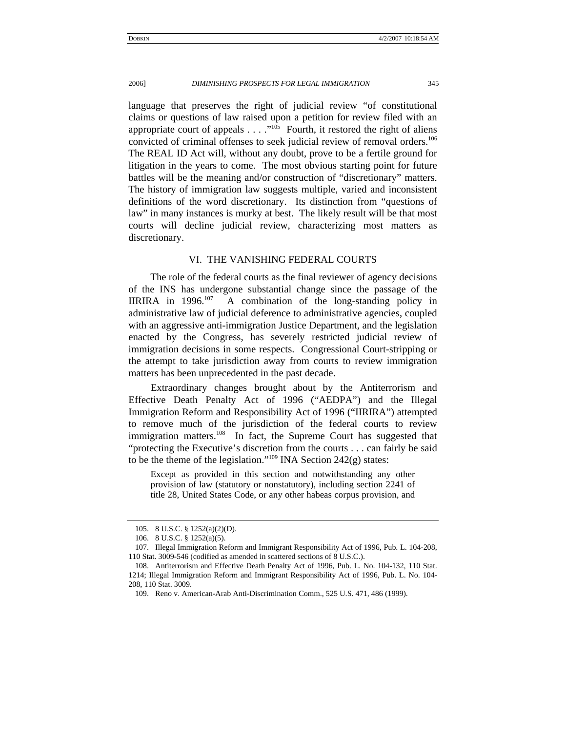<span id="page-16-0"></span>language that preserves the right of judicial review "of constitutional claims or questions of law raised upon a petition for review filed with an appropriate court of appeals  $\dots$   $\cdot$ <sup>105</sup> Fourth, it restored the right of aliens convicted of criminal offenses to seek judicial review of removal orders.<sup>106</sup> The REAL ID Act will, without any doubt, prove to be a fertile ground for litigation in the years to come. The most obvious starting point for future battles will be the meaning and/or construction of "discretionary" matters. The history of immigration law suggests multiple, varied and inconsistent definitions of the word discretionary. Its distinction from "questions of law" in many instances is murky at best. The likely result will be that most courts will decline judicial review, characterizing most matters as discretionary.

## VI. THE VANISHING FEDERAL COURTS

The role of the federal courts as the final reviewer of agency decisions of the INS has undergone substantial change since the passage of the IIRIRA in  $1996$ <sup>107</sup> A combination of the long-standing policy in administrative law of judicial deference to administrative agencies, coupled with an aggressive anti-immigration Justice Department, and the legislation enacted by the Congress, has severely restricted judicial review of immigration decisions in some respects. Congressional Court-stripping or the attempt to take jurisdiction away from courts to review immigration matters has been unprecedented in the past decade.

Extraordinary changes brought about by the Antiterrorism and Effective Death Penalty Act of 1996 ("AEDPA") and the Illegal Immigration Reform and Responsibility Act of 1996 ("IIRIRA") attempted to remove much of the jurisdiction of the federal courts to review immigration matters.<sup>108</sup> In fact, the Supreme Court has suggested that "protecting the Executive's discretion from the courts . . . can fairly be said to be the theme of the legislation."<sup>109</sup> INA Section 242(g) states:

Except as provided in this section and notwithstanding any other provision of law (statutory or nonstatutory), including section 2241 of title 28, United States Code, or any other habeas corpus provision, and

<span id="page-16-1"></span><sup>105. 8</sup> U.S.C. § 1252(a)(2)(D).

<span id="page-16-2"></span><sup>106. 8</sup> U.S.C. § 1252(a)(5).

<span id="page-16-3"></span><sup>107.</sup> Illegal Immigration Reform and Immigrant Responsibility Act of 1996, Pub. L. 104-208, 110 Stat. 3009-546 (codified as amended in scattered sections of 8 U.S.C.).

<span id="page-16-4"></span><sup>108.</sup> Antiterrorism and Effective Death Penalty Act of 1996, Pub. L. No. 104-132, 110 Stat. 1214; Illegal Immigration Reform and Immigrant Responsibility Act of 1996, Pub. L. No. 104- 208, 110 Stat. 3009.

<span id="page-16-5"></span><sup>109.</sup> Reno v. American-Arab Anti-Discrimination Comm., 525 U.S. 471, 486 (1999).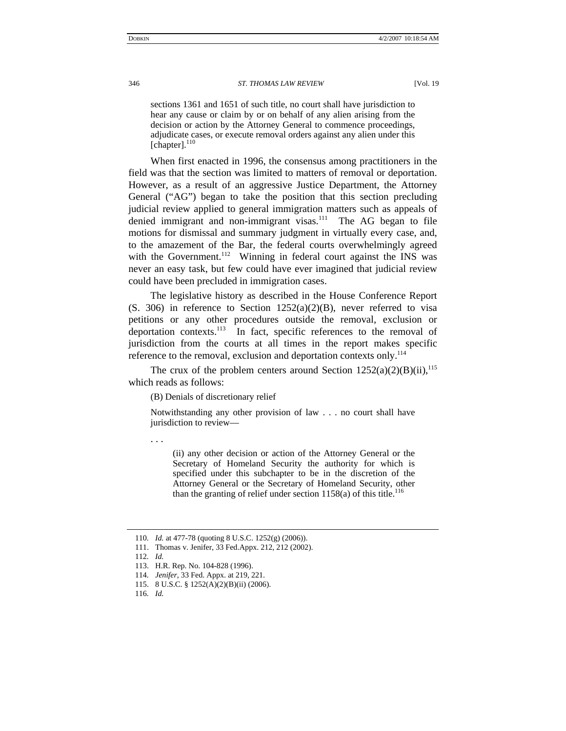sections 1361 and 1651 of such title, no court shall have jurisdiction to hear any cause or claim by or on behalf of any alien arising from the decision or action by the Attorney General to commence proceedings, adjudicate cases, or execute removal orders against any alien under this [chapter].<sup>[110](#page-17-0)</sup>

When first enacted in 1996, the consensus among practitioners in the field was that the section was limited to matters of removal or deportation. However, as a result of an aggressive Justice Department, the Attorney General ("AG") began to take the position that this section precluding judicial review applied to general immigration matters such as appeals of denied immigrant and non-immigrant visas.<sup>111</sup> The AG began to file motions for dismissal and summary judgment in virtually every case, and, to the amazement of the Bar, the federal courts overwhelmingly agreed with the Government.<sup>112</sup> Winning in federal court against the INS was never an easy task, but few could have ever imagined that judicial review could have been precluded in immigration cases.

The legislative history as described in the House Conference Report  $(S. 306)$  in reference to Section 1252(a)(2)(B), never referred to visa petitions or any other procedures outside the removal, exclusion or deportation contexts.<sup>113</sup> In fact, specific references to the removal of jurisdiction from the courts at all times in the report makes specific reference to the removal, exclusion and deportation contexts only.<sup>[114](#page-17-4)</sup>

The crux of the problem centers around Section  $1252(a)(2)(B)(ii)$ ,<sup>115</sup> which reads as follows:

(B) Denials of discretionary relief

Notwithstanding any other provision of law . . . no court shall have jurisdiction to review—

. . .

(ii) any other decision or action of the Attorney General or the Secretary of Homeland Security the authority for which is specified under this subchapter to be in the discretion of the Attorney General or the Secretary of Homeland Security, other than the granting of relief under section  $1158(a)$  of this title.<sup>[116](#page-17-6)</sup>

<span id="page-17-0"></span><sup>110</sup>*. Id.* at 477-78 (quoting 8 U.S.C. 1252(g) (2006)).

<span id="page-17-1"></span><sup>111.</sup> Thomas v. Jenifer, 33 Fed.Appx. 212, 212 (2002).

<span id="page-17-2"></span><sup>112</sup>*. Id.*

<span id="page-17-3"></span><sup>113.</sup> H.R. Rep. No. 104-828 (1996).

<span id="page-17-4"></span><sup>114</sup>*. Jenifer*, 33 Fed. Appx. at 219, 221.

<span id="page-17-5"></span><sup>115. 8</sup> U.S.C. § 1252(A)(2)(B)(ii) (2006).

<span id="page-17-6"></span><sup>116</sup>*. Id.*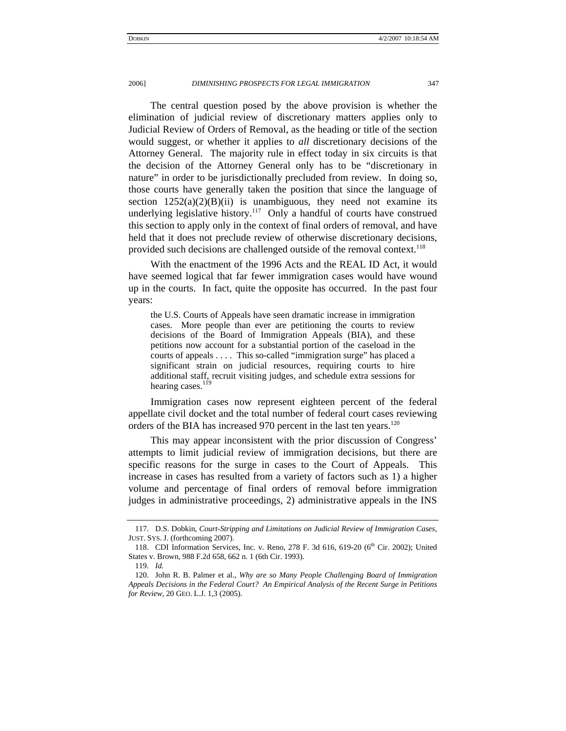The central question posed by the above provision is whether the elimination of judicial review of discretionary matters applies only to Judicial Review of Orders of Removal, as the heading or title of the section would suggest, or whether it applies to *all* discretionary decisions of the Attorney General. The majority rule in effect today in six circuits is that the decision of the Attorney General only has to be "discretionary in nature" in order to be jurisdictionally precluded from review. In doing so, those courts have generally taken the position that since the language of section  $1252(a)(2)(B)(ii)$  is unambiguous, they need not examine its underlying legislative history.<sup>117</sup> Only a handful of courts have construed this section to apply only in the context of final orders of removal, and have held that it does not preclude review of otherwise discretionary decisions, provided such decisions are challenged outside of the removal context.<sup>[118](#page-18-1)</sup>

With the enactment of the 1996 Acts and the REAL ID Act, it would have seemed logical that far fewer immigration cases would have wound up in the courts. In fact, quite the opposite has occurred. In the past four years:

the U.S. Courts of Appeals have seen dramatic increase in immigration cases. More people than ever are petitioning the courts to review decisions of the Board of Immigration Appeals (BIA), and these petitions now account for a substantial portion of the caseload in the courts of appeals . . . . This so-called "immigration surge" has placed a significant strain on judicial resources, requiring courts to hire additional staff, recruit visiting judges, and schedule extra sessions for hearing cases.<sup>119</sup>

Immigration cases now represent eighteen percent of the federal appellate civil docket and the total number of federal court cases reviewing orders of the BIA has increased 970 percent in the last ten years.<sup>[120](#page-18-3)</sup>

This may appear inconsistent with the prior discussion of Congress' attempts to limit judicial review of immigration decisions, but there are specific reasons for the surge in cases to the Court of Appeals. This increase in cases has resulted from a variety of factors such as 1) a higher volume and percentage of final orders of removal before immigration judges in administrative proceedings, 2) administrative appeals in the INS

<span id="page-18-0"></span><sup>117.</sup> D.S. Dobkin, *Court-Stripping and Limitations on Judicial Review of Immigration Cases,* JUST. SYS. J. (forthcoming 2007).

<span id="page-18-1"></span><sup>118.</sup> CDI Information Services, Inc. v. Reno, 278 F. 3d 616, 619-20 (6<sup>th</sup> Cir. 2002); United States v. Brown, 988 F.2d 658, 662 n. 1 (6th Cir. 1993).

<span id="page-18-2"></span><sup>119</sup>*. Id.*

<span id="page-18-3"></span><sup>120.</sup> John R. B. Palmer et al., *Why are so Many People Challenging Board of Immigration Appeals Decisions in the Federal Court? An Empirical Analysis of the Recent Surge in Petitions for Review*, 20 GEO. L.J. 1,3 (2005).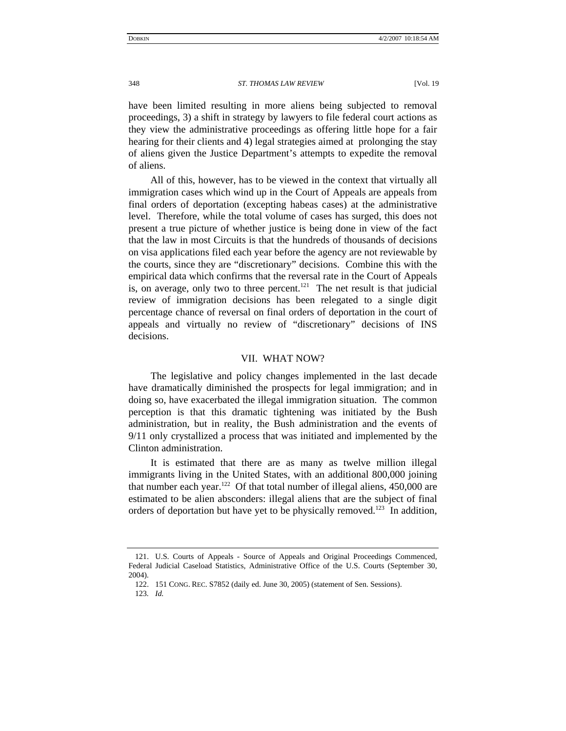<span id="page-19-0"></span>have been limited resulting in more aliens being subjected to removal proceedings, 3) a shift in strategy by lawyers to file federal court actions as they view the administrative proceedings as offering little hope for a fair hearing for their clients and 4) legal strategies aimed at prolonging the stay of aliens given the Justice Department's attempts to expedite the removal of aliens.

All of this, however, has to be viewed in the context that virtually all immigration cases which wind up in the Court of Appeals are appeals from final orders of deportation (excepting habeas cases) at the administrative level. Therefore, while the total volume of cases has surged, this does not present a true picture of whether justice is being done in view of the fact that the law in most Circuits is that the hundreds of thousands of decisions on visa applications filed each year before the agency are not reviewable by the courts, since they are "discretionary" decisions. Combine this with the empirical data which confirms that the reversal rate in the Court of Appeals is, on average, only two to three percent.<sup>121</sup> The net result is that judicial review of immigration decisions has been relegated to a single digit percentage chance of reversal on final orders of deportation in the court of appeals and virtually no review of "discretionary" decisions of INS decisions.

## VII. WHAT NOW?

The legislative and policy changes implemented in the last decade have dramatically diminished the prospects for legal immigration; and in doing so, have exacerbated the illegal immigration situation. The common perception is that this dramatic tightening was initiated by the Bush administration, but in reality, the Bush administration and the events of 9/11 only crystallized a process that was initiated and implemented by the Clinton administration.

 It is estimated that there are as many as twelve million illegal immigrants living in the United States, with an additional 800,000 joining that number each year.<sup>122</sup> Of that total number of illegal aliens,  $450,000$  are estimated to be alien absconders: illegal aliens that are the subject of final orders of deportation but have yet to be physically removed.<sup>123</sup> In addition,

<span id="page-19-1"></span><sup>121.</sup> U.S. Courts of Appeals - Source of Appeals and Original Proceedings Commenced, Federal Judicial Caseload Statistics, Administrative Office of the U.S. Courts (September 30, 2004).

<span id="page-19-2"></span><sup>122. 151</sup> CONG. REC. S7852 (daily ed. June 30, 2005) (statement of Sen. Sessions).

<span id="page-19-3"></span><sup>123</sup>*. Id.*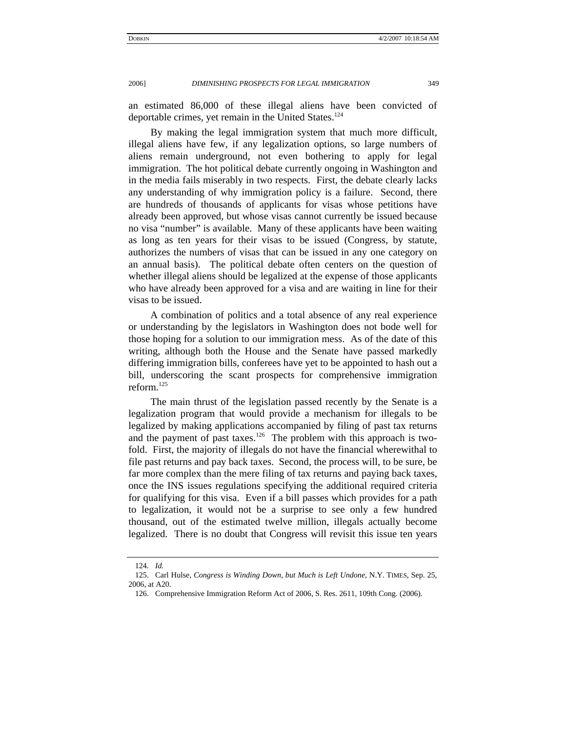an estimated 86,000 of these illegal aliens have been convicted of deportable crimes, yet remain in the United States.<sup>[124](#page-20-0)</sup>

By making the legal immigration system that much more difficult, illegal aliens have few, if any legalization options, so large numbers of aliens remain underground, not even bothering to apply for legal immigration. The hot political debate currently ongoing in Washington and in the media fails miserably in two respects. First, the debate clearly lacks any understanding of why immigration policy is a failure. Second, there are hundreds of thousands of applicants for visas whose petitions have already been approved, but whose visas cannot currently be issued because no visa "number" is available. Many of these applicants have been waiting as long as ten years for their visas to be issued (Congress, by statute, authorizes the numbers of visas that can be issued in any one category on an annual basis). The political debate often centers on the question of whether illegal aliens should be legalized at the expense of those applicants who have already been approved for a visa and are waiting in line for their visas to be issued.

A combination of politics and a total absence of any real experience or understanding by the legislators in Washington does not bode well for those hoping for a solution to our immigration mess. As of the date of this writing, although both the House and the Senate have passed markedly differing immigration bills, conferees have yet to be appointed to hash out a bill, underscoring the scant prospects for comprehensive immigration reform.[125](#page-20-1)

The main thrust of the legislation passed recently by the Senate is a legalization program that would provide a mechanism for illegals to be legalized by making applications accompanied by filing of past tax returns and the payment of past taxes.<sup>126</sup> The problem with this approach is twofold. First, the majority of illegals do not have the financial wherewithal to file past returns and pay back taxes. Second, the process will, to be sure, be far more complex than the mere filing of tax returns and paying back taxes, once the INS issues regulations specifying the additional required criteria for qualifying for this visa. Even if a bill passes which provides for a path to legalization, it would not be a surprise to see only a few hundred thousand, out of the estimated twelve million, illegals actually become legalized. There is no doubt that Congress will revisit this issue ten years

<span id="page-20-0"></span><sup>124</sup>*. Id.*

<span id="page-20-1"></span><sup>125.</sup> Carl Hulse, *Congress is Winding Down, but Much is Left Undone*, N.Y. TIMES, Sep. 25, 2006, at A20.

<span id="page-20-2"></span><sup>126.</sup> Comprehensive Immigration Reform Act of 2006, S. Res. 2611, 109th Cong. (2006).